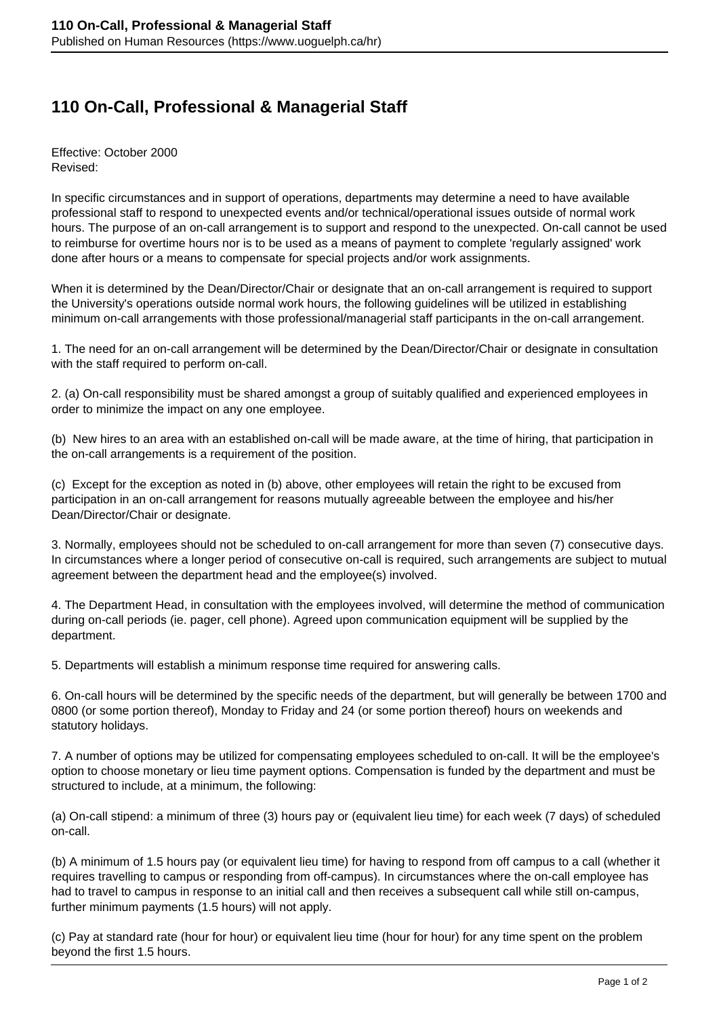## **110 On-Call, Professional & Managerial Staff**

Effective: October 2000 Revised:

In specific circumstances and in support of operations, departments may determine a need to have available professional staff to respond to unexpected events and/or technical/operational issues outside of normal work hours. The purpose of an on-call arrangement is to support and respond to the unexpected. On-call cannot be used to reimburse for overtime hours nor is to be used as a means of payment to complete 'regularly assigned' work done after hours or a means to compensate for special projects and/or work assignments.

When it is determined by the Dean/Director/Chair or designate that an on-call arrangement is required to support the University's operations outside normal work hours, the following guidelines will be utilized in establishing minimum on-call arrangements with those professional/managerial staff participants in the on-call arrangement.

1. The need for an on-call arrangement will be determined by the Dean/Director/Chair or designate in consultation with the staff required to perform on-call.

2. (a) On-call responsibility must be shared amongst a group of suitably qualified and experienced employees in order to minimize the impact on any one employee.

(b) New hires to an area with an established on-call will be made aware, at the time of hiring, that participation in the on-call arrangements is a requirement of the position.

(c) Except for the exception as noted in (b) above, other employees will retain the right to be excused from participation in an on-call arrangement for reasons mutually agreeable between the employee and his/her Dean/Director/Chair or designate.

3. Normally, employees should not be scheduled to on-call arrangement for more than seven (7) consecutive days. In circumstances where a longer period of consecutive on-call is required, such arrangements are subject to mutual agreement between the department head and the employee(s) involved.

4. The Department Head, in consultation with the employees involved, will determine the method of communication during on-call periods (ie. pager, cell phone). Agreed upon communication equipment will be supplied by the department.

5. Departments will establish a minimum response time required for answering calls.

6. On-call hours will be determined by the specific needs of the department, but will generally be between 1700 and 0800 (or some portion thereof), Monday to Friday and 24 (or some portion thereof) hours on weekends and statutory holidays.

7. A number of options may be utilized for compensating employees scheduled to on-call. It will be the employee's option to choose monetary or lieu time payment options. Compensation is funded by the department and must be structured to include, at a minimum, the following:

(a) On-call stipend: a minimum of three (3) hours pay or (equivalent lieu time) for each week (7 days) of scheduled on-call.

(b) A minimum of 1.5 hours pay (or equivalent lieu time) for having to respond from off campus to a call (whether it requires travelling to campus or responding from off-campus). In circumstances where the on-call employee has had to travel to campus in response to an initial call and then receives a subsequent call while still on-campus, further minimum payments (1.5 hours) will not apply.

(c) Pay at standard rate (hour for hour) or equivalent lieu time (hour for hour) for any time spent on the problem beyond the first 1.5 hours.